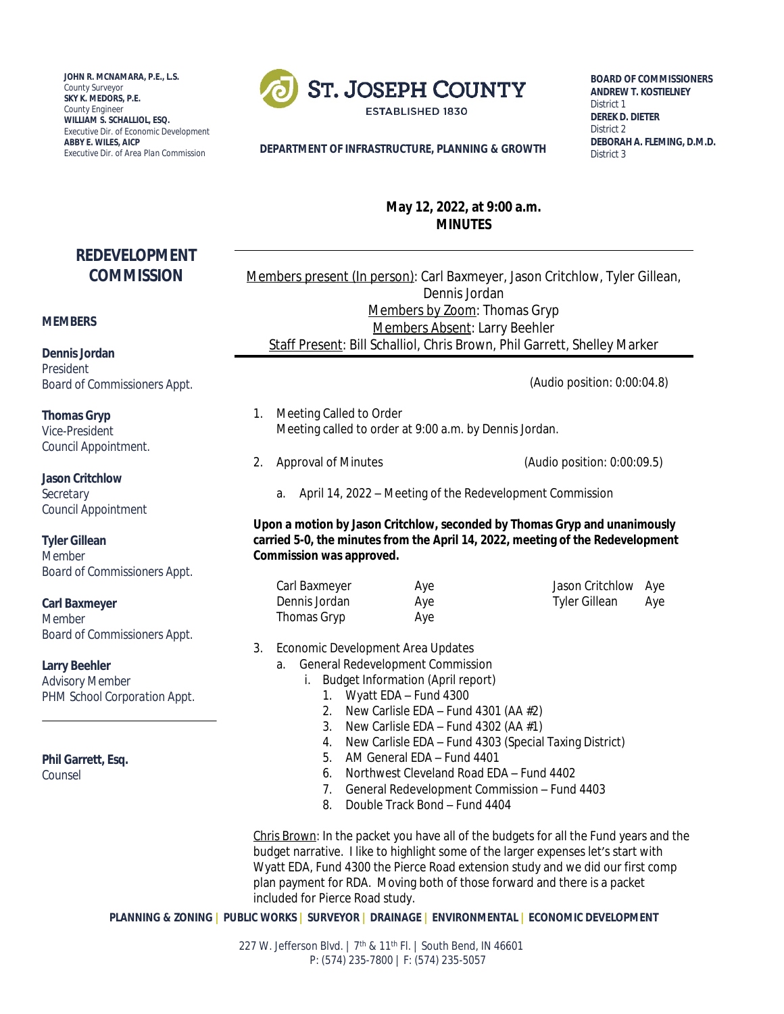**JOHN R. MCNAMARA, P.E., L.S.** *County Surveyor* **SKY K. MEDORS, P.E.** *County Engineer* **WILLIAM S. SCHALLIOL, ESQ.** *Executive Dir. of Economic Development* **ABBY E. WILES, AICP**



**BOARD OF COMMISSIONERS ANDREW T. KOSTIELNEY** *District 1* **DEREK D. DIETER** *District 2* **DEBORAH A. FLEMING, D.M.D.** *District 3*

#### **DEPARTMENT OF INFRASTRUCTURE, PLANNING & GROWTH**

# **May 12, 2022, at 9:00 a.m. MINUTES**

# **REDEVELOPMENT COMMISSION**

#### **MEMBERS**

**Dennis Jordan** *President Board of Commissioners Appt.*

**Thomas Gryp** *Vice-President Council Appointment.*

**Jason Critchlow** *Secretary Council Appointment*

**Tyler Gillean**

*Member Board of Commissioners Appt.*

**Carl Baxmeyer**

*Member Board of Commissioners Appt.*

**Larry Beehler** *Advisory Member PHM School Corporation Appt.*

**Phil Garrett, Esq.**

*Counsel*

Members present (In person): Carl Baxmeyer, Jason Critchlow, Tyler Gillean, Dennis Jordan Members by Zoom: Thomas Gryp Members Absent: Larry Beehler Staff Present: Bill Schalliol, Chris Brown, Phil Garrett, Shelley Marker

(Audio position: 0:00:04.8)

- 1. Meeting Called to Order Meeting called to order at 9:00 a.m. by Dennis Jordan.
- 2. Approval of Minutes (Audio position: 0:00:09.5)

a. April 14, 2022 – Meeting of the Redevelopment Commission

**Upon a motion by Jason Critchlow, seconded by Thomas Gryp and unanimously carried 5-0, the minutes from the April 14, 2022, meeting of the Redevelopment Commission was approved.** 

Carl Baxmeyer **Aye** Aye Jason Critchlow Aye Dennis Jordan **Aye** Ave Tyler Gillean Ave Thomas Gryp **Aye** 

- 3. Economic Development Area Updates
	- a. General Redevelopment Commission
		- i. Budget Information (April report)
			- 1. Wyatt EDA Fund 4300
			- 2. New Carlisle EDA Fund 4301 (AA  $#2$ )
			- 3. New Carlisle EDA Fund 4302 (AA  $#1$ )
			- 4. New Carlisle EDA Fund 4303 (Special Taxing District)
			- 5. AM General EDA Fund 4401
			- 6. Northwest Cleveland Road EDA Fund 4402
			- 7. General Redevelopment Commission Fund 4403
			- 8. Double Track Bond Fund 4404

Chris Brown: In the packet you have all of the budgets for all the Fund years and the budget narrative. I like to highlight some of the larger expenses let's start with Wyatt EDA, Fund 4300 the Pierce Road extension study and we did our first comp plan payment for RDA. Moving both of those forward and there is a packet included for Pierce Road study.

**PLANNING & ZONING | PUBLIC WORKS | SURVEYOR | DRAINAGE | ENVIRONMENTAL | ECONOMIC DEVELOPMENT**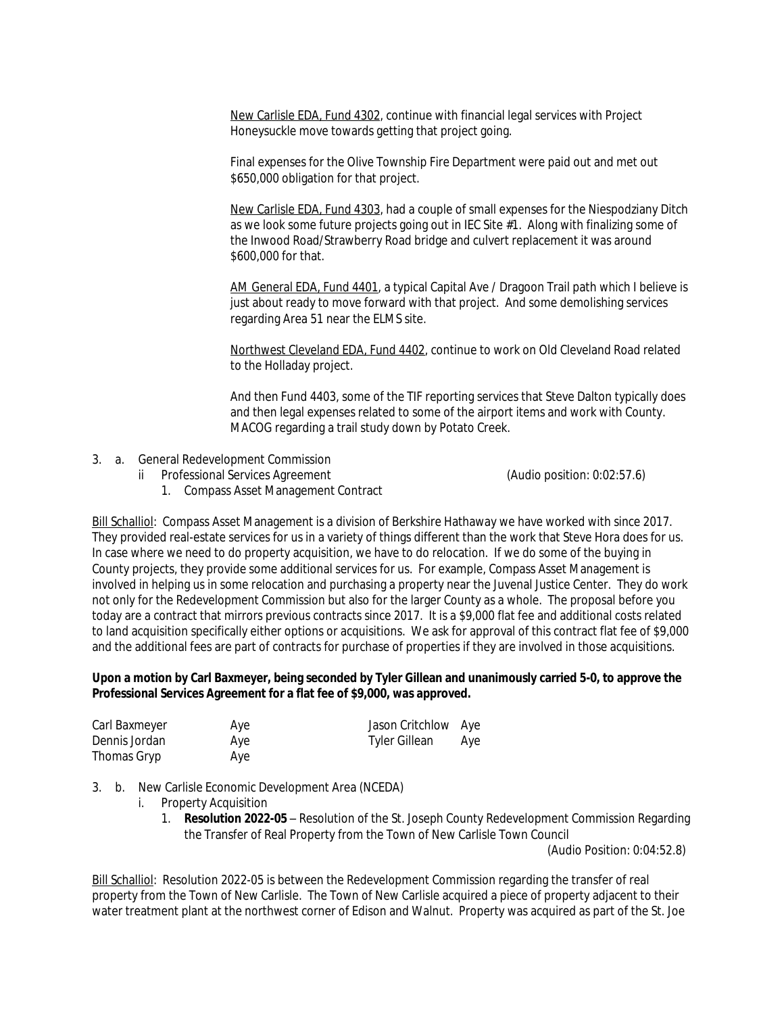New Carlisle EDA, Fund 4302, continue with financial legal services with Project Honeysuckle move towards getting that project going.

Final expenses for the Olive Township Fire Department were paid out and met out \$650,000 obligation for that project.

New Carlisle EDA, Fund 4303, had a couple of small expenses for the Niespodziany Ditch as we look some future projects going out in IEC Site #1. Along with finalizing some of the Inwood Road/Strawberry Road bridge and culvert replacement it was around \$600,000 for that.

AM General EDA, Fund 4401, a typical Capital Ave / Dragoon Trail path which I believe is just about ready to move forward with that project. And some demolishing services regarding Area 51 near the ELMS site.

Northwest Cleveland EDA, Fund 4402, continue to work on Old Cleveland Road related to the Holladay project.

And then Fund 4403, some of the TIF reporting services that Steve Dalton typically does and then legal expenses related to some of the airport items and work with County. MACOG regarding a trail study down by Potato Creek.

- 3. a. General Redevelopment Commission
	- ii Professional Services Agreement (Audio position: 0:02:57.6)

1. Compass Asset Management Contract

Bill Schalliol: Compass Asset Management is a division of Berkshire Hathaway we have worked with since 2017. They provided real-estate services for us in a variety of things different than the work that Steve Hora does for us. In case where we need to do property acquisition, we have to do relocation. If we do some of the buying in County projects, they provide some additional services for us. For example, Compass Asset Management is involved in helping us in some relocation and purchasing a property near the Juvenal Justice Center. They do work not only for the Redevelopment Commission but also for the larger County as a whole. The proposal before you today are a contract that mirrors previous contracts since 2017. It is a \$9,000 flat fee and additional costs related to land acquisition specifically either options or acquisitions. We ask for approval of this contract flat fee of \$9,000 and the additional fees are part of contracts for purchase of properties if they are involved in those acquisitions.

### **Upon a motion by Carl Baxmeyer, being seconded by Tyler Gillean and unanimously carried 5-0, to approve the Professional Services Agreement for a flat fee of \$9,000, was approved.**

| Carl Baxmeyer | Aye | Jason Critchlow Aye |     |
|---------------|-----|---------------------|-----|
| Dennis Jordan | Aye | Tyler Gillean       | Aye |
| Thomas Gryp   | Aye |                     |     |

3. b. New Carlisle Economic Development Area (NCEDA)

- i. Property Acquisition
	- 1. **Resolution 2022-05** Resolution of the St. Joseph County Redevelopment Commission Regarding the Transfer of Real Property from the Town of New Carlisle Town Council

(Audio Position: 0:04:52.8)

Bill Schalliol: Resolution 2022-05 is between the Redevelopment Commission regarding the transfer of real property from the Town of New Carlisle. The Town of New Carlisle acquired a piece of property adjacent to their water treatment plant at the northwest corner of Edison and Walnut. Property was acquired as part of the St. Joe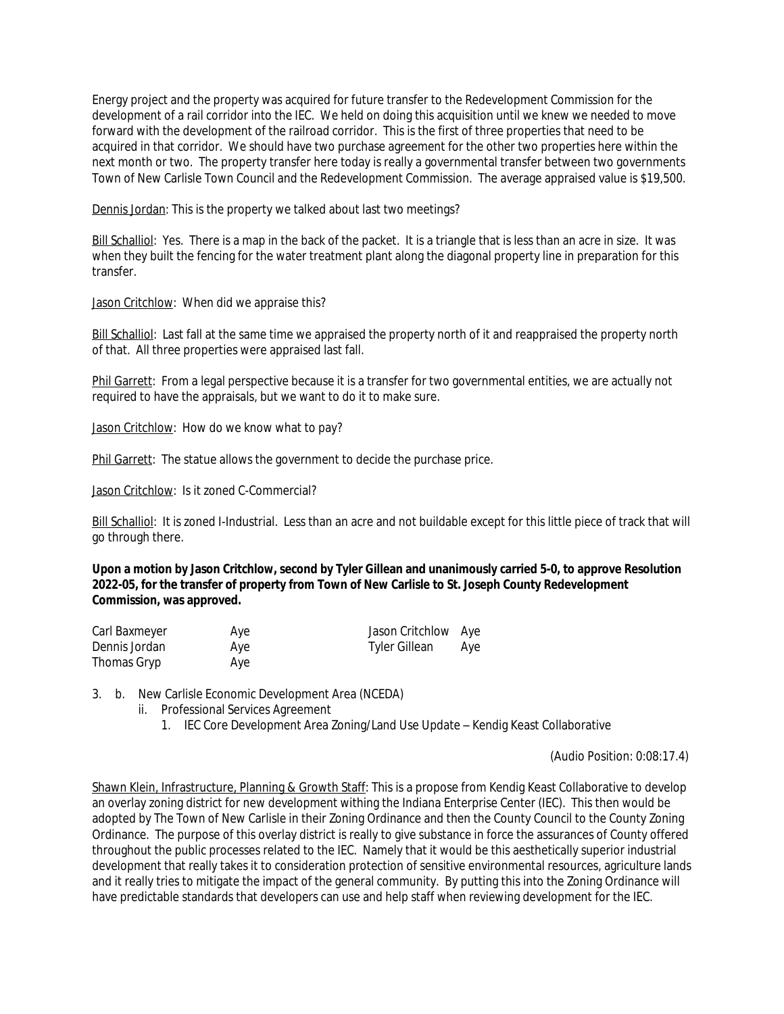Energy project and the property was acquired for future transfer to the Redevelopment Commission for the development of a rail corridor into the IEC. We held on doing this acquisition until we knew we needed to move forward with the development of the railroad corridor. This is the first of three properties that need to be acquired in that corridor. We should have two purchase agreement for the other two properties here within the next month or two. The property transfer here today is really a governmental transfer between two governments Town of New Carlisle Town Council and the Redevelopment Commission. The average appraised value is \$19,500.

Dennis Jordan: This is the property we talked about last two meetings?

Bill Schalliol: Yes. There is a map in the back of the packet. It is a triangle that is less than an acre in size. It was when they built the fencing for the water treatment plant along the diagonal property line in preparation for this transfer.

Jason Critchlow: When did we appraise this?

Bill Schalliol: Last fall at the same time we appraised the property north of it and reappraised the property north of that. All three properties were appraised last fall.

Phil Garrett: From a legal perspective because it is a transfer for two governmental entities, we are actually not required to have the appraisals, but we want to do it to make sure.

Jason Critchlow: How do we know what to pay?

Phil Garrett: The statue allows the government to decide the purchase price.

Jason Critchlow: Is it zoned C-Commercial?

Bill Schalliol: It is zoned I-Industrial. Less than an acre and not buildable except for this little piece of track that will go through there.

**Upon a motion by Jason Critchlow, second by Tyler Gillean and unanimously carried 5-0, to approve Resolution 2022-05, for the transfer of property from Town of New Carlisle to St. Joseph County Redevelopment Commission, was approved.** 

| Carl Baxmeyer | Aye | Jason Critchlow Aye |     |
|---------------|-----|---------------------|-----|
| Dennis Jordan | Aye | Tyler Gillean       | Aye |
| Thomas Gryp   | Aye |                     |     |

3. b. New Carlisle Economic Development Area (NCEDA)

- ii. Professional Services Agreement
	- 1. IEC Core Development Area Zoning/Land Use Update Kendig Keast Collaborative

(Audio Position: 0:08:17.4)

Shawn Klein, Infrastructure, Planning & Growth Staff: This is a propose from Kendig Keast Collaborative to develop an overlay zoning district for new development withing the Indiana Enterprise Center (IEC). This then would be adopted by The Town of New Carlisle in their Zoning Ordinance and then the County Council to the County Zoning Ordinance. The purpose of this overlay district is really to give substance in force the assurances of County offered throughout the public processes related to the IEC. Namely that it would be this aesthetically superior industrial development that really takes it to consideration protection of sensitive environmental resources, agriculture lands and it really tries to mitigate the impact of the general community. By putting this into the Zoning Ordinance will have predictable standards that developers can use and help staff when reviewing development for the IEC.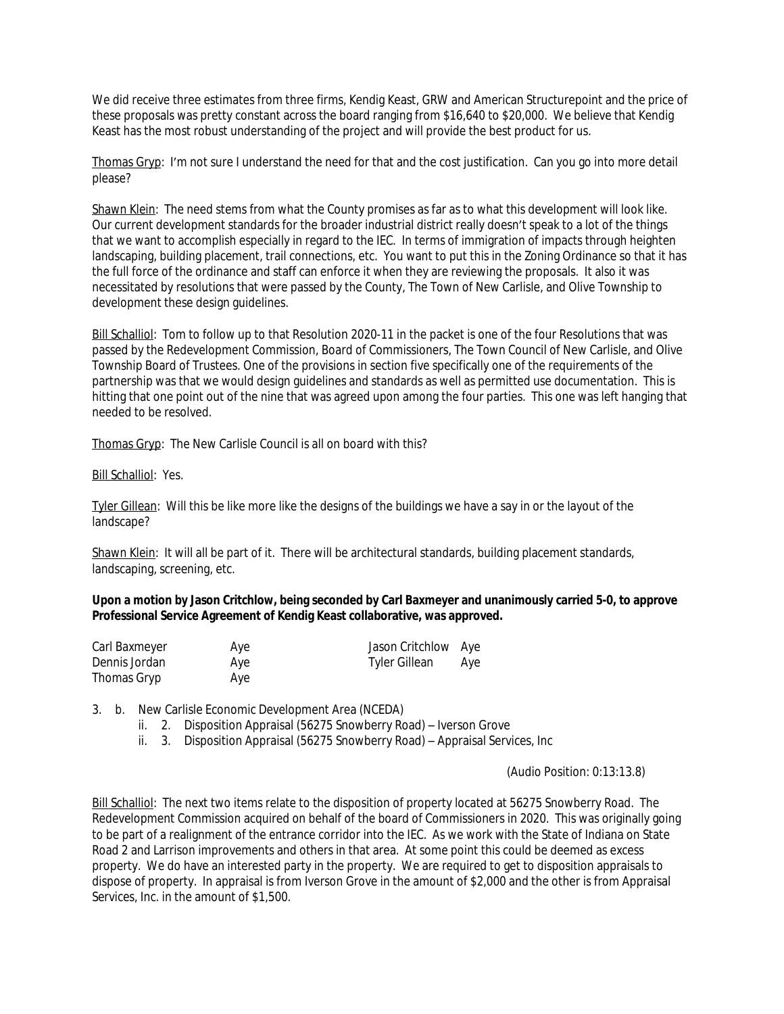We did receive three estimates from three firms, Kendig Keast, GRW and American Structurepoint and the price of these proposals was pretty constant across the board ranging from \$16,640 to \$20,000. We believe that Kendig Keast has the most robust understanding of the project and will provide the best product for us.

Thomas Gryp: I'm not sure I understand the need for that and the cost justification. Can you go into more detail please?

Shawn Klein: The need stems from what the County promises as far as to what this development will look like. Our current development standards for the broader industrial district really doesn't speak to a lot of the things that we want to accomplish especially in regard to the IEC. In terms of immigration of impacts through heighten landscaping, building placement, trail connections, etc. You want to put this in the Zoning Ordinance so that it has the full force of the ordinance and staff can enforce it when they are reviewing the proposals. It also it was necessitated by resolutions that were passed by the County, The Town of New Carlisle, and Olive Township to development these design guidelines.

Bill Schalliol: Tom to follow up to that Resolution 2020-11 in the packet is one of the four Resolutions that was passed by the Redevelopment Commission, Board of Commissioners, The Town Council of New Carlisle, and Olive Township Board of Trustees. One of the provisions in section five specifically one of the requirements of the partnership was that we would design guidelines and standards as well as permitted use documentation. This is hitting that one point out of the nine that was agreed upon among the four parties. This one was left hanging that needed to be resolved.

Thomas Gryp: The New Carlisle Council is all on board with this?

Bill Schalliol: Yes.

Tyler Gillean: Will this be like more like the designs of the buildings we have a say in or the layout of the landscape?

Shawn Klein: It will all be part of it. There will be architectural standards, building placement standards, landscaping, screening, etc.

**Upon a motion by Jason Critchlow, being seconded by Carl Baxmeyer and unanimously carried 5-0, to approve Professional Service Agreement of Kendig Keast collaborative, was approved.**

| Carl Baxmeyer | Aye | Jason Critchlow Aye |     |
|---------------|-----|---------------------|-----|
| Dennis Jordan | Aye | Tyler Gillean       | Aye |
| Thomas Gryp   | Aye |                     |     |

3. b. New Carlisle Economic Development Area (NCEDA)

- ii. 2. Disposition Appraisal (56275 Snowberry Road) Iverson Grove
- ii. 3. Disposition Appraisal (56275 Snowberry Road) Appraisal Services, Inc

(Audio Position: 0:13:13.8)

Bill Schalliol: The next two items relate to the disposition of property located at 56275 Snowberry Road. The Redevelopment Commission acquired on behalf of the board of Commissioners in 2020. This was originally going to be part of a realignment of the entrance corridor into the IEC. As we work with the State of Indiana on State Road 2 and Larrison improvements and others in that area. At some point this could be deemed as excess property. We do have an interested party in the property. We are required to get to disposition appraisals to dispose of property. In appraisal is from Iverson Grove in the amount of \$2,000 and the other is from Appraisal Services, Inc. in the amount of \$1,500.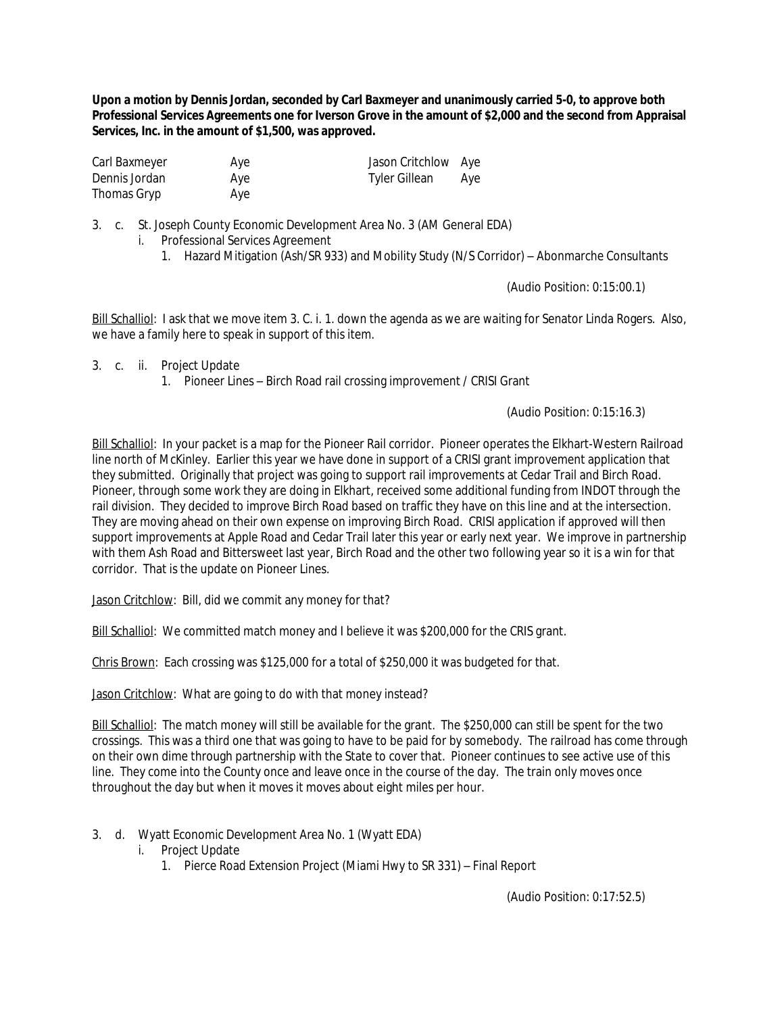**Upon a motion by Dennis Jordan, seconded by Carl Baxmeyer and unanimously carried 5-0, to approve both Professional Services Agreements one for Iverson Grove in the amount of \$2,000 and the second from Appraisal Services, Inc. in the amount of \$1,500, was approved.** 

| Carl Baxmeyer | Aye | Jason Critchlow Aye  |  |
|---------------|-----|----------------------|--|
| Dennis Jordan | Aye | Tyler Gillean<br>Ave |  |
| Thomas Gryp   | Aye |                      |  |

3. c. St. Joseph County Economic Development Area No. 3 (AM General EDA)

- i. Professional Services Agreement
	- 1. Hazard Mitigation (Ash/SR 933) and Mobility Study (N/S Corridor) Abonmarche Consultants

(Audio Position: 0:15:00.1)

Bill Schalliol: I ask that we move item 3. C. i. 1. down the agenda as we are waiting for Senator Linda Rogers. Also, we have a family here to speak in support of this item.

- 3. c. ii. Project Update
	- 1. Pioneer Lines Birch Road rail crossing improvement / CRISI Grant

(Audio Position: 0:15:16.3)

Bill Schalliol: In your packet is a map for the Pioneer Rail corridor. Pioneer operates the Elkhart-Western Railroad line north of McKinley. Earlier this year we have done in support of a CRISI grant improvement application that they submitted. Originally that project was going to support rail improvements at Cedar Trail and Birch Road. Pioneer, through some work they are doing in Elkhart, received some additional funding from INDOT through the rail division. They decided to improve Birch Road based on traffic they have on this line and at the intersection. They are moving ahead on their own expense on improving Birch Road. CRISI application if approved will then support improvements at Apple Road and Cedar Trail later this year or early next year. We improve in partnership with them Ash Road and Bittersweet last year, Birch Road and the other two following year so it is a win for that corridor. That is the update on Pioneer Lines.

Jason Critchlow: Bill, did we commit any money for that?

Bill Schalliol: We committed match money and I believe it was \$200,000 for the CRIS grant.

Chris Brown: Each crossing was \$125,000 for a total of \$250,000 it was budgeted for that.

Jason Critchlow: What are going to do with that money instead?

Bill Schalliol: The match money will still be available for the grant. The \$250,000 can still be spent for the two crossings. This was a third one that was going to have to be paid for by somebody. The railroad has come through on their own dime through partnership with the State to cover that. Pioneer continues to see active use of this line. They come into the County once and leave once in the course of the day. The train only moves once throughout the day but when it moves it moves about eight miles per hour.

- 3. d. Wyatt Economic Development Area No. 1 (Wyatt EDA)
	- i. Project Update
		- 1. Pierce Road Extension Project (Miami Hwy to SR 331) Final Report

(Audio Position: 0:17:52.5)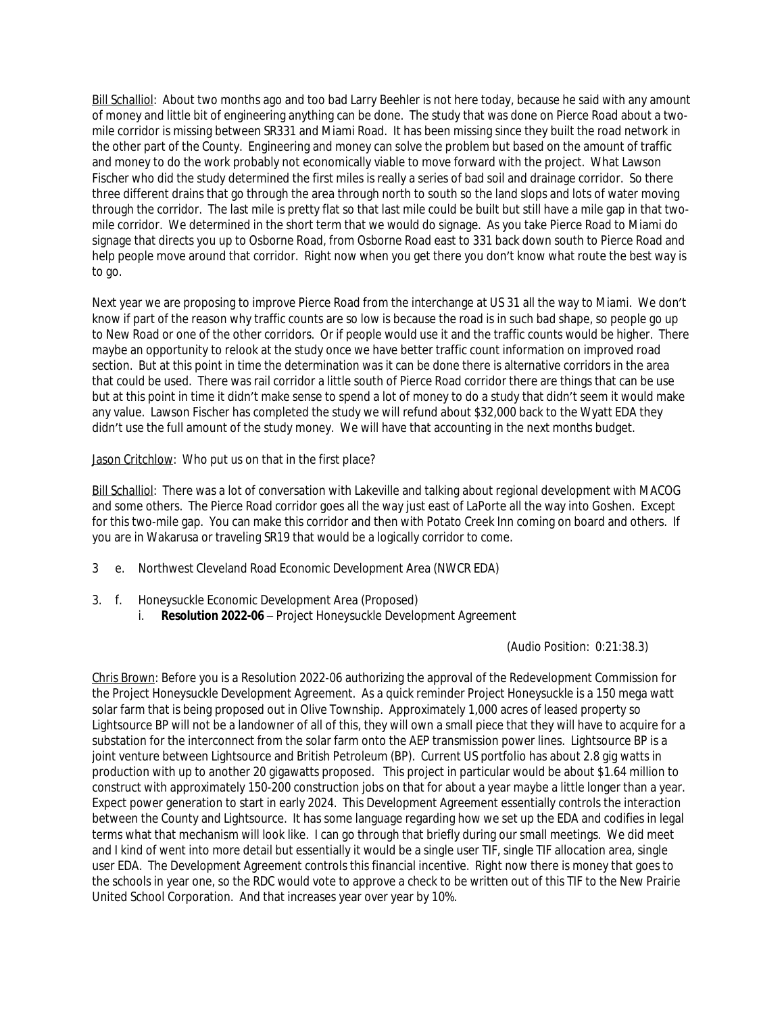Bill Schalliol: About two months ago and too bad Larry Beehler is not here today, because he said with any amount of money and little bit of engineering anything can be done. The study that was done on Pierce Road about a twomile corridor is missing between SR331 and Miami Road. It has been missing since they built the road network in the other part of the County. Engineering and money can solve the problem but based on the amount of traffic and money to do the work probably not economically viable to move forward with the project. What Lawson Fischer who did the study determined the first miles is really a series of bad soil and drainage corridor. So there three different drains that go through the area through north to south so the land slops and lots of water moving through the corridor. The last mile is pretty flat so that last mile could be built but still have a mile gap in that twomile corridor. We determined in the short term that we would do signage. As you take Pierce Road to Miami do signage that directs you up to Osborne Road, from Osborne Road east to 331 back down south to Pierce Road and help people move around that corridor. Right now when you get there you don't know what route the best way is to go.

Next year we are proposing to improve Pierce Road from the interchange at US 31 all the way to Miami. We don't know if part of the reason why traffic counts are so low is because the road is in such bad shape, so people go up to New Road or one of the other corridors. Or if people would use it and the traffic counts would be higher. There maybe an opportunity to relook at the study once we have better traffic count information on improved road section. But at this point in time the determination was it can be done there is alternative corridors in the area that could be used. There was rail corridor a little south of Pierce Road corridor there are things that can be use but at this point in time it didn't make sense to spend a lot of money to do a study that didn't seem it would make any value. Lawson Fischer has completed the study we will refund about \$32,000 back to the Wyatt EDA they didn't use the full amount of the study money. We will have that accounting in the next months budget.

### Jason Critchlow: Who put us on that in the first place?

Bill Schalliol: There was a lot of conversation with Lakeville and talking about regional development with MACOG and some others. The Pierce Road corridor goes all the way just east of LaPorte all the way into Goshen. Except for this two-mile gap. You can make this corridor and then with Potato Creek Inn coming on board and others. If you are in Wakarusa or traveling SR19 that would be a logically corridor to come.

- 3 e. Northwest Cleveland Road Economic Development Area (NWCR EDA)
- 3. f. Honeysuckle Economic Development Area (Proposed)
	- i. **Resolution 2022-06** Project Honeysuckle Development Agreement

(Audio Position: 0:21:38.3)

Chris Brown: Before you is a Resolution 2022-06 authorizing the approval of the Redevelopment Commission for the Project Honeysuckle Development Agreement. As a quick reminder Project Honeysuckle is a 150 mega watt solar farm that is being proposed out in Olive Township. Approximately 1,000 acres of leased property so Lightsource BP will not be a landowner of all of this, they will own a small piece that they will have to acquire for a substation for the interconnect from the solar farm onto the AEP transmission power lines. Lightsource BP is a joint venture between Lightsource and British Petroleum (BP). Current US portfolio has about 2.8 gig watts in production with up to another 20 gigawatts proposed. This project in particular would be about \$1.64 million to construct with approximately 150-200 construction jobs on that for about a year maybe a little longer than a year. Expect power generation to start in early 2024. This Development Agreement essentially controls the interaction between the County and Lightsource. It has some language regarding how we set up the EDA and codifies in legal terms what that mechanism will look like. I can go through that briefly during our small meetings. We did meet and I kind of went into more detail but essentially it would be a single user TIF, single TIF allocation area, single user EDA. The Development Agreement controls this financial incentive. Right now there is money that goes to the schools in year one, so the RDC would vote to approve a check to be written out of this TIF to the New Prairie United School Corporation. And that increases year over year by 10%.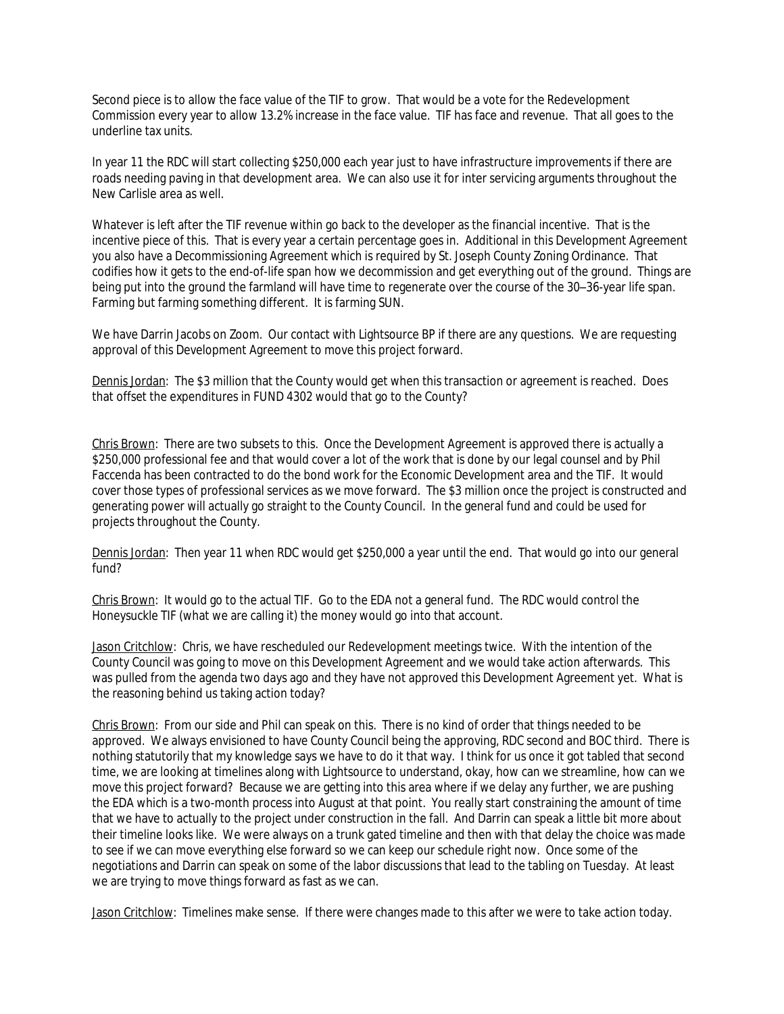Second piece is to allow the face value of the TIF to grow. That would be a vote for the Redevelopment Commission every year to allow 13.2% increase in the face value. TIF has face and revenue. That all goes to the underline tax units.

In year 11 the RDC will start collecting \$250,000 each year just to have infrastructure improvements if there are roads needing paving in that development area. We can also use it for inter servicing arguments throughout the New Carlisle area as well.

Whatever is left after the TIF revenue within go back to the developer as the financial incentive. That is the incentive piece of this. That is every year a certain percentage goes in. Additional in this Development Agreement you also have a Decommissioning Agreement which is required by St. Joseph County Zoning Ordinance. That codifies how it gets to the end-of-life span how we decommission and get everything out of the ground. Things are being put into the ground the farmland will have time to regenerate over the course of the 30–36-year life span. Farming but farming something different. It is farming SUN.

We have Darrin Jacobs on Zoom. Our contact with Lightsource BP if there are any questions. We are requesting approval of this Development Agreement to move this project forward.

Dennis Jordan: The \$3 million that the County would get when this transaction or agreement is reached. Does that offset the expenditures in FUND 4302 would that go to the County?

Chris Brown: There are two subsets to this. Once the Development Agreement is approved there is actually a \$250,000 professional fee and that would cover a lot of the work that is done by our legal counsel and by Phil Faccenda has been contracted to do the bond work for the Economic Development area and the TIF. It would cover those types of professional services as we move forward. The \$3 million once the project is constructed and generating power will actually go straight to the County Council. In the general fund and could be used for projects throughout the County.

Dennis Jordan: Then year 11 when RDC would get \$250,000 a year until the end. That would go into our general fund?

Chris Brown: It would go to the actual TIF. Go to the EDA not a general fund. The RDC would control the Honeysuckle TIF (what we are calling it) the money would go into that account.

Jason Critchlow: Chris, we have rescheduled our Redevelopment meetings twice. With the intention of the County Council was going to move on this Development Agreement and we would take action afterwards. This was pulled from the agenda two days ago and they have not approved this Development Agreement yet. What is the reasoning behind us taking action today?

Chris Brown: From our side and Phil can speak on this. There is no kind of order that things needed to be approved. We always envisioned to have County Council being the approving, RDC second and BOC third. There is nothing statutorily that my knowledge says we have to do it that way. I think for us once it got tabled that second time, we are looking at timelines along with Lightsource to understand, okay, how can we streamline, how can we move this project forward? Because we are getting into this area where if we delay any further, we are pushing the EDA which is a two-month process into August at that point. You really start constraining the amount of time that we have to actually to the project under construction in the fall. And Darrin can speak a little bit more about their timeline looks like. We were always on a trunk gated timeline and then with that delay the choice was made to see if we can move everything else forward so we can keep our schedule right now. Once some of the negotiations and Darrin can speak on some of the labor discussions that lead to the tabling on Tuesday. At least we are trying to move things forward as fast as we can.

Jason Critchlow: Timelines make sense. If there were changes made to this after we were to take action today.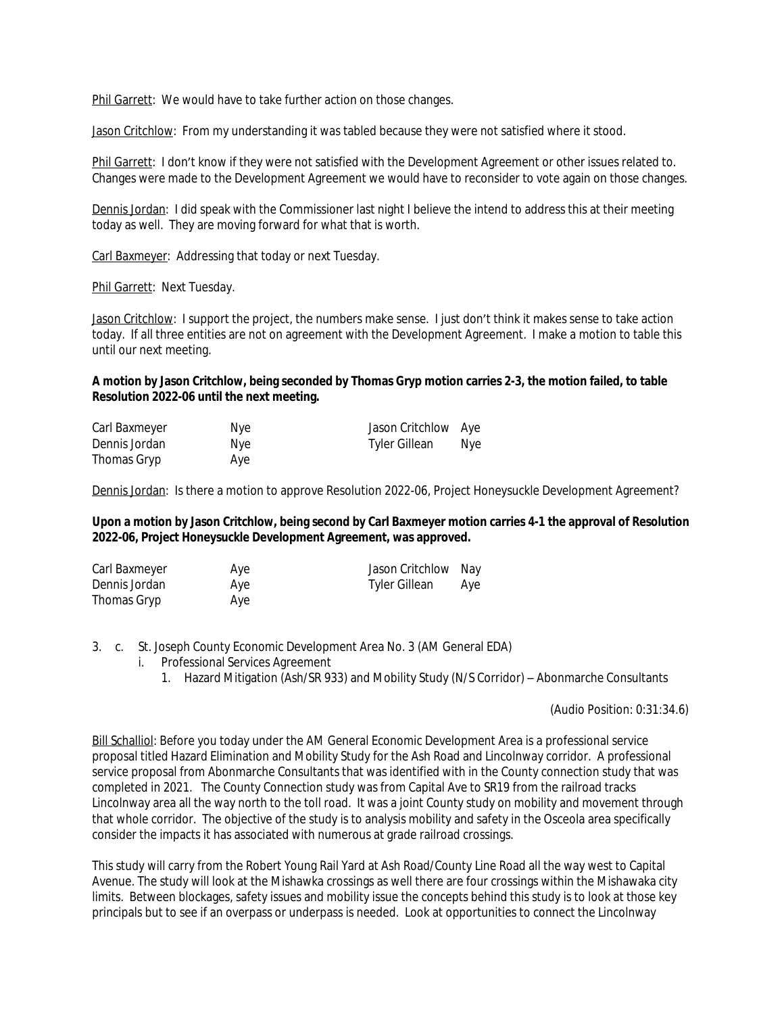Phil Garrett: We would have to take further action on those changes.

Jason Critchlow: From my understanding it was tabled because they were not satisfied where it stood.

Phil Garrett: I don't know if they were not satisfied with the Development Agreement or other issues related to. Changes were made to the Development Agreement we would have to reconsider to vote again on those changes.

Dennis Jordan: I did speak with the Commissioner last night I believe the intend to address this at their meeting today as well. They are moving forward for what that is worth.

Carl Baxmeyer: Addressing that today or next Tuesday.

Phil Garrett: Next Tuesday.

Jason Critchlow: I support the project, the numbers make sense. I just don't think it makes sense to take action today. If all three entities are not on agreement with the Development Agreement. I make a motion to table this until our next meeting.

#### **A motion by Jason Critchlow, being seconded by Thomas Gryp motion carries 2-3, the motion failed, to table Resolution 2022-06 until the next meeting.**

| Carl Baxmeyer | Nye. | Jason Critchlow Aye |      |
|---------------|------|---------------------|------|
| Dennis Jordan | Nye. | Tyler Gillean       | Nye. |
| Thomas Gryp   | Aye  |                     |      |

Dennis Jordan: Is there a motion to approve Resolution 2022-06, Project Honeysuckle Development Agreement?

### **Upon a motion by Jason Critchlow, being second by Carl Baxmeyer motion carries 4-1 the approval of Resolution 2022-06, Project Honeysuckle Development Agreement, was approved.**

| Carl Baxmeyer | Aye | Jason Critchlow Nay |     |
|---------------|-----|---------------------|-----|
| Dennis Jordan | Aye | Tyler Gillean       | Aye |
| Thomas Gryp   | Aye |                     |     |

3. c. St. Joseph County Economic Development Area No. 3 (AM General EDA)

- i. Professional Services Agreement
	- 1. Hazard Mitigation (Ash/SR 933) and Mobility Study (N/S Corridor) Abonmarche Consultants

(Audio Position: 0:31:34.6)

Bill Schalliol: Before you today under the AM General Economic Development Area is a professional service proposal titled Hazard Elimination and Mobility Study for the Ash Road and Lincolnway corridor. A professional service proposal from Abonmarche Consultants that was identified with in the County connection study that was completed in 2021. The County Connection study was from Capital Ave to SR19 from the railroad tracks Lincolnway area all the way north to the toll road. It was a joint County study on mobility and movement through that whole corridor. The objective of the study is to analysis mobility and safety in the Osceola area specifically consider the impacts it has associated with numerous at grade railroad crossings.

This study will carry from the Robert Young Rail Yard at Ash Road/County Line Road all the way west to Capital Avenue. The study will look at the Mishawka crossings as well there are four crossings within the Mishawaka city limits. Between blockages, safety issues and mobility issue the concepts behind this study is to look at those key principals but to see if an overpass or underpass is needed. Look at opportunities to connect the Lincolnway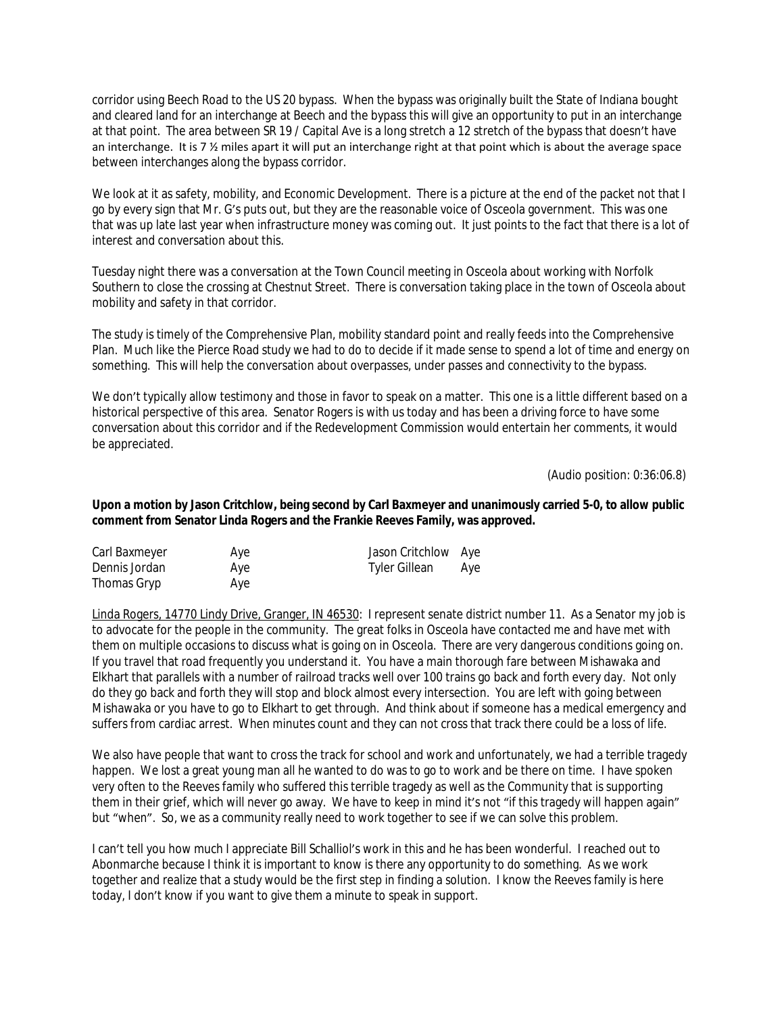corridor using Beech Road to the US 20 bypass. When the bypass was originally built the State of Indiana bought and cleared land for an interchange at Beech and the bypass this will give an opportunity to put in an interchange at that point. The area between SR 19 / Capital Ave is a long stretch a 12 stretch of the bypass that doesn't have an interchange. It is 7  $\frac{1}{2}$  miles apart it will put an interchange right at that point which is about the average space between interchanges along the bypass corridor.

We look at it as safety, mobility, and Economic Development. There is a picture at the end of the packet not that I go by every sign that Mr. G's puts out, but they are the reasonable voice of Osceola government. This was one that was up late last year when infrastructure money was coming out. It just points to the fact that there is a lot of interest and conversation about this.

Tuesday night there was a conversation at the Town Council meeting in Osceola about working with Norfolk Southern to close the crossing at Chestnut Street. There is conversation taking place in the town of Osceola about mobility and safety in that corridor.

The study is timely of the Comprehensive Plan, mobility standard point and really feeds into the Comprehensive Plan. Much like the Pierce Road study we had to do to decide if it made sense to spend a lot of time and energy on something. This will help the conversation about overpasses, under passes and connectivity to the bypass.

We don't typically allow testimony and those in favor to speak on a matter. This one is a little different based on a historical perspective of this area. Senator Rogers is with us today and has been a driving force to have some conversation about this corridor and if the Redevelopment Commission would entertain her comments, it would be appreciated.

(Audio position: 0:36:06.8)

### **Upon a motion by Jason Critchlow, being second by Carl Baxmeyer and unanimously carried 5-0, to allow public comment from Senator Linda Rogers and the Frankie Reeves Family, was approved.**

| Carl Baxmeyer | Aye | Jason Critchlow Aye |     |
|---------------|-----|---------------------|-----|
| Dennis Jordan | Aye | Tyler Gillean       | Aye |
| Thomas Gryp   | Aye |                     |     |

Linda Rogers, 14770 Lindy Drive, Granger, IN 46530: I represent senate district number 11. As a Senator my job is to advocate for the people in the community. The great folks in Osceola have contacted me and have met with them on multiple occasions to discuss what is going on in Osceola. There are very dangerous conditions going on. If you travel that road frequently you understand it. You have a main thorough fare between Mishawaka and Elkhart that parallels with a number of railroad tracks well over 100 trains go back and forth every day. Not only do they go back and forth they will stop and block almost every intersection. You are left with going between Mishawaka or you have to go to Elkhart to get through. And think about if someone has a medical emergency and suffers from cardiac arrest. When minutes count and they can not cross that track there could be a loss of life.

We also have people that want to cross the track for school and work and unfortunately, we had a terrible tragedy happen. We lost a great young man all he wanted to do was to go to work and be there on time. I have spoken very often to the Reeves family who suffered this terrible tragedy as well as the Community that is supporting them in their grief, which will never go away. We have to keep in mind it's not "if this tragedy will happen again" but "when". So, we as a community really need to work together to see if we can solve this problem.

I can't tell you how much I appreciate Bill Schalliol's work in this and he has been wonderful. I reached out to Abonmarche because I think it is important to know is there any opportunity to do something. As we work together and realize that a study would be the first step in finding a solution. I know the Reeves family is here today, I don't know if you want to give them a minute to speak in support.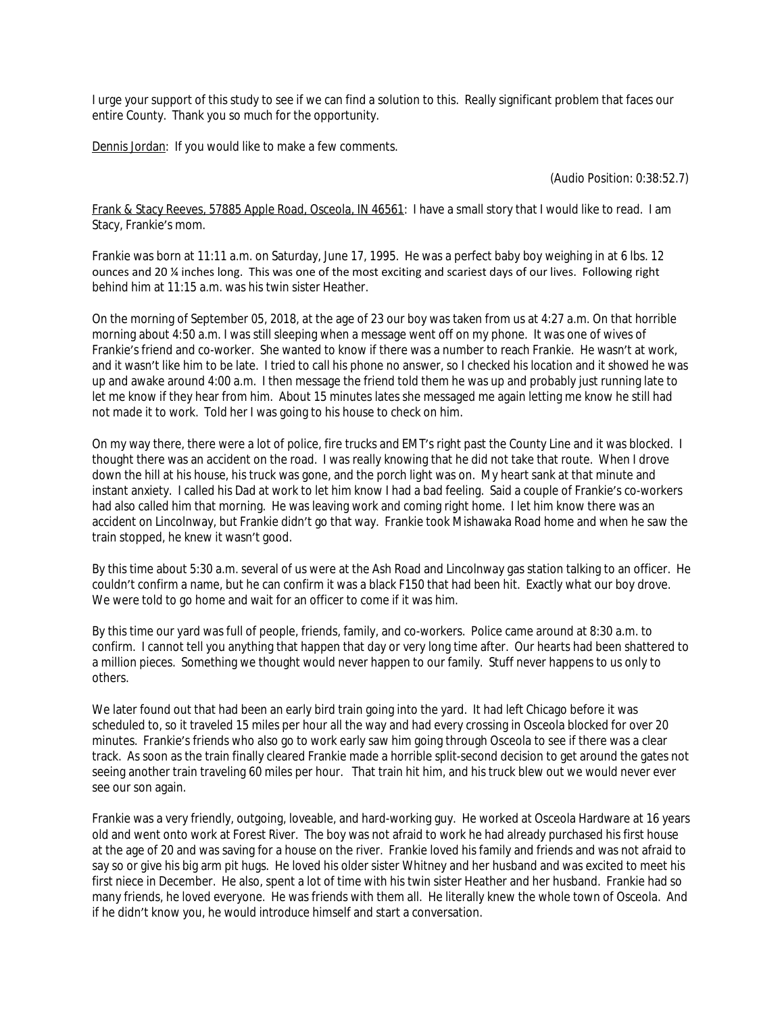I urge your support of this study to see if we can find a solution to this. Really significant problem that faces our entire County. Thank you so much for the opportunity.

Dennis Jordan: If you would like to make a few comments.

(Audio Position: 0:38:52.7)

Frank & Stacy Reeves, 57885 Apple Road, Osceola, IN 46561: I have a small story that I would like to read. I am Stacy, Frankie's mom.

Frankie was born at 11:11 a.m. on Saturday, June 17, 1995. He was a perfect baby boy weighing in at 6 lbs. 12 ounces and 20 ¼ inches long. This was one of the most exciting and scariest days of our lives. Following right behind him at 11:15 a.m. was his twin sister Heather.

On the morning of September 05, 2018, at the age of 23 our boy was taken from us at 4:27 a.m. On that horrible morning about 4:50 a.m. I was still sleeping when a message went off on my phone. It was one of wives of Frankie's friend and co-worker. She wanted to know if there was a number to reach Frankie. He wasn't at work, and it wasn't like him to be late. I tried to call his phone no answer, so I checked his location and it showed he was up and awake around 4:00 a.m. I then message the friend told them he was up and probably just running late to let me know if they hear from him. About 15 minutes lates she messaged me again letting me know he still had not made it to work. Told her I was going to his house to check on him.

On my way there, there were a lot of police, fire trucks and EMT's right past the County Line and it was blocked. I thought there was an accident on the road. I was really knowing that he did not take that route. When I drove down the hill at his house, his truck was gone, and the porch light was on. My heart sank at that minute and instant anxiety. I called his Dad at work to let him know I had a bad feeling. Said a couple of Frankie's co-workers had also called him that morning. He was leaving work and coming right home. I let him know there was an accident on Lincolnway, but Frankie didn't go that way. Frankie took Mishawaka Road home and when he saw the train stopped, he knew it wasn't good.

By this time about 5:30 a.m. several of us were at the Ash Road and Lincolnway gas station talking to an officer. He couldn't confirm a name, but he can confirm it was a black F150 that had been hit. Exactly what our boy drove. We were told to go home and wait for an officer to come if it was him.

By this time our yard was full of people, friends, family, and co-workers. Police came around at 8:30 a.m. to confirm. I cannot tell you anything that happen that day or very long time after. Our hearts had been shattered to a million pieces. Something we thought would never happen to our family. Stuff never happens to us only to others.

We later found out that had been an early bird train going into the yard. It had left Chicago before it was scheduled to, so it traveled 15 miles per hour all the way and had every crossing in Osceola blocked for over 20 minutes. Frankie's friends who also go to work early saw him going through Osceola to see if there was a clear track. As soon as the train finally cleared Frankie made a horrible split-second decision to get around the gates not seeing another train traveling 60 miles per hour. That train hit him, and his truck blew out we would never ever see our son again.

Frankie was a very friendly, outgoing, loveable, and hard-working guy. He worked at Osceola Hardware at 16 years old and went onto work at Forest River. The boy was not afraid to work he had already purchased his first house at the age of 20 and was saving for a house on the river. Frankie loved his family and friends and was not afraid to say so or give his big arm pit hugs. He loved his older sister Whitney and her husband and was excited to meet his first niece in December. He also, spent a lot of time with his twin sister Heather and her husband. Frankie had so many friends, he loved everyone. He was friends with them all. He literally knew the whole town of Osceola. And if he didn't know you, he would introduce himself and start a conversation.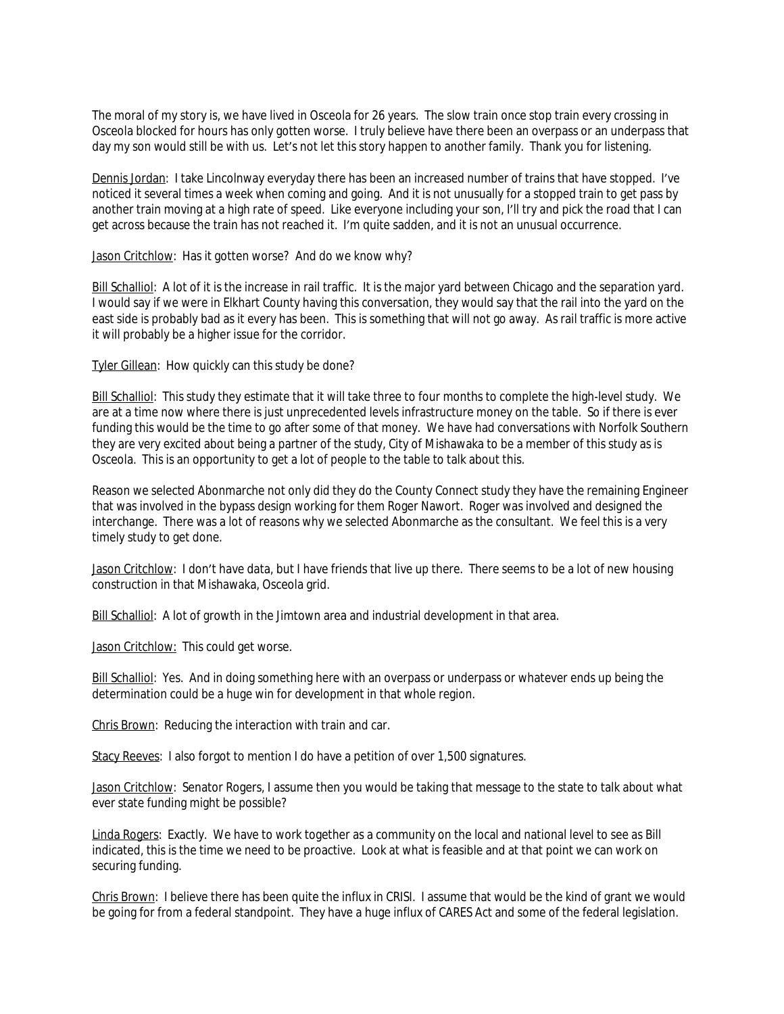The moral of my story is, we have lived in Osceola for 26 years. The slow train once stop train every crossing in Osceola blocked for hours has only gotten worse. I truly believe have there been an overpass or an underpass that day my son would still be with us. Let's not let this story happen to another family. Thank you for listening.

Dennis Jordan: I take Lincolnway everyday there has been an increased number of trains that have stopped. I've noticed it several times a week when coming and going. And it is not unusually for a stopped train to get pass by another train moving at a high rate of speed. Like everyone including your son, I'll try and pick the road that I can get across because the train has not reached it. I'm quite sadden, and it is not an unusual occurrence.

Jason Critchlow: Has it gotten worse? And do we know why?

Bill Schalliol: A lot of it is the increase in rail traffic. It is the major yard between Chicago and the separation yard. I would say if we were in Elkhart County having this conversation, they would say that the rail into the yard on the east side is probably bad as it every has been. This is something that will not go away. As rail traffic is more active it will probably be a higher issue for the corridor.

Tyler Gillean: How quickly can this study be done?

Bill Schalliol: This study they estimate that it will take three to four months to complete the high-level study. We are at a time now where there is just unprecedented levels infrastructure money on the table. So if there is ever funding this would be the time to go after some of that money. We have had conversations with Norfolk Southern they are very excited about being a partner of the study, City of Mishawaka to be a member of this study as is Osceola. This is an opportunity to get a lot of people to the table to talk about this.

Reason we selected Abonmarche not only did they do the County Connect study they have the remaining Engineer that was involved in the bypass design working for them Roger Nawort. Roger was involved and designed the interchange. There was a lot of reasons why we selected Abonmarche as the consultant. We feel this is a very timely study to get done.

Jason Critchlow: I don't have data, but I have friends that live up there. There seems to be a lot of new housing construction in that Mishawaka, Osceola grid.

Bill Schalliol: A lot of growth in the Jimtown area and industrial development in that area.

Jason Critchlow: This could get worse.

Bill Schalliol: Yes. And in doing something here with an overpass or underpass or whatever ends up being the determination could be a huge win for development in that whole region.

Chris Brown: Reducing the interaction with train and car.

Stacy Reeves: I also forgot to mention I do have a petition of over 1,500 signatures.

Jason Critchlow: Senator Rogers, I assume then you would be taking that message to the state to talk about what ever state funding might be possible?

Linda Rogers: Exactly. We have to work together as a community on the local and national level to see as Bill indicated, this is the time we need to be proactive. Look at what is feasible and at that point we can work on securing funding.

Chris Brown: I believe there has been quite the influx in CRISI. I assume that would be the kind of grant we would be going for from a federal standpoint. They have a huge influx of CARES Act and some of the federal legislation.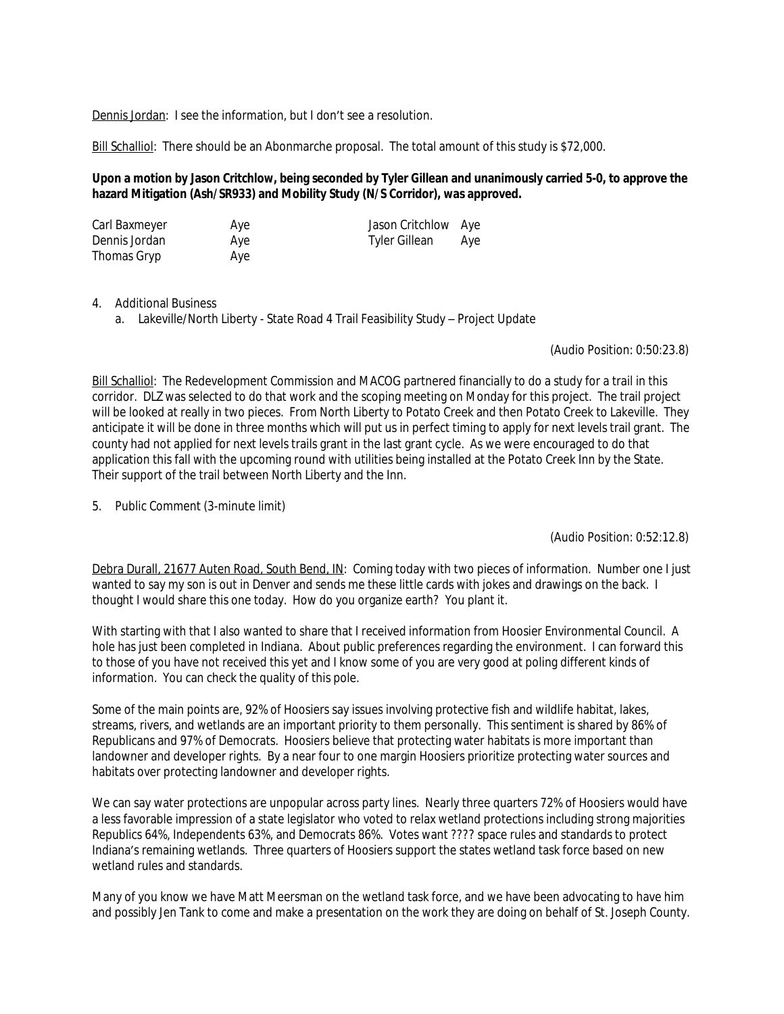Dennis Jordan: I see the information, but I don't see a resolution.

Bill Schalliol: There should be an Abonmarche proposal. The total amount of this study is \$72,000.

### **Upon a motion by Jason Critchlow, being seconded by Tyler Gillean and unanimously carried 5-0, to approve the hazard Mitigation (Ash/SR933) and Mobility Study (N/S Corridor), was approved.**

| Carl Baxmeyer | Aye | Jason Critchlow Aye |     |
|---------------|-----|---------------------|-----|
| Dennis Jordan | Aye | Tyler Gillean       | Aye |
| Thomas Gryp   | Aye |                     |     |

#### 4. Additional Business

a. Lakeville/North Liberty - State Road 4 Trail Feasibility Study – Project Update

#### (Audio Position: 0:50:23.8)

Bill Schalliol: The Redevelopment Commission and MACOG partnered financially to do a study for a trail in this corridor. DLZ was selected to do that work and the scoping meeting on Monday for this project. The trail project will be looked at really in two pieces. From North Liberty to Potato Creek and then Potato Creek to Lakeville. They anticipate it will be done in three months which will put us in perfect timing to apply for next levels trail grant. The county had not applied for next levels trails grant in the last grant cycle. As we were encouraged to do that application this fall with the upcoming round with utilities being installed at the Potato Creek Inn by the State. Their support of the trail between North Liberty and the Inn.

5. Public Comment (3-minute limit)

(Audio Position: 0:52:12.8)

Debra Durall, 21677 Auten Road, South Bend, IN: Coming today with two pieces of information. Number one I just wanted to say my son is out in Denver and sends me these little cards with jokes and drawings on the back. I thought I would share this one today. How do you organize earth? You plant it.

With starting with that I also wanted to share that I received information from Hoosier Environmental Council. A hole has just been completed in Indiana. About public preferences regarding the environment. I can forward this to those of you have not received this yet and I know some of you are very good at poling different kinds of information. You can check the quality of this pole.

Some of the main points are, 92% of Hoosiers say issues involving protective fish and wildlife habitat, lakes, streams, rivers, and wetlands are an important priority to them personally. This sentiment is shared by 86% of Republicans and 97% of Democrats. Hoosiers believe that protecting water habitats is more important than landowner and developer rights. By a near four to one margin Hoosiers prioritize protecting water sources and habitats over protecting landowner and developer rights.

We can say water protections are unpopular across party lines. Nearly three quarters 72% of Hoosiers would have a less favorable impression of a state legislator who voted to relax wetland protections including strong majorities Republics 64%, Independents 63%, and Democrats 86%. Votes want ???? space rules and standards to protect Indiana's remaining wetlands. Three quarters of Hoosiers support the states wetland task force based on new wetland rules and standards.

Many of you know we have Matt Meersman on the wetland task force, and we have been advocating to have him and possibly Jen Tank to come and make a presentation on the work they are doing on behalf of St. Joseph County.